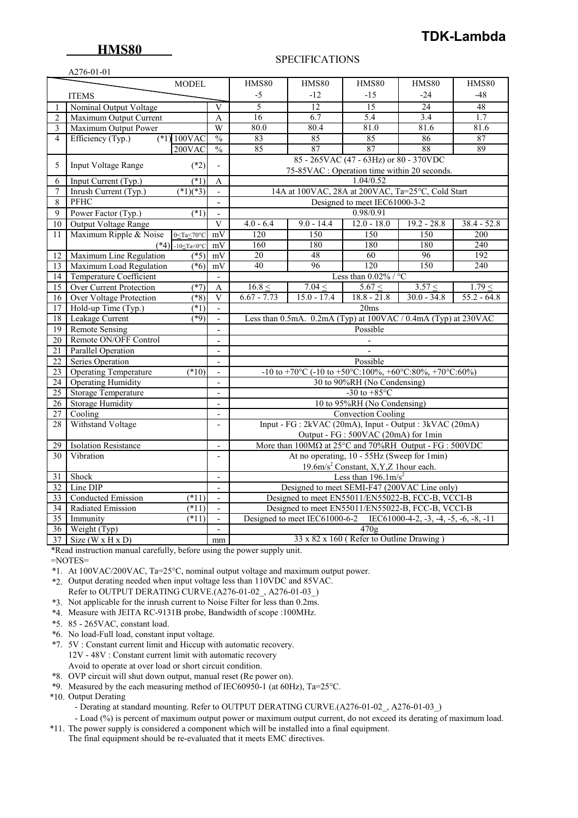# **TDK-Lambda**

### SPECIFICATIONS

|                                 | A276-01-01                                                                                                  |                          |                                                                             |               |                                                                |                 |               |  |
|---------------------------------|-------------------------------------------------------------------------------------------------------------|--------------------------|-----------------------------------------------------------------------------|---------------|----------------------------------------------------------------|-----------------|---------------|--|
|                                 | <b>MODEL</b>                                                                                                |                          | HMS80                                                                       | HMS80         | <b>HMS80</b>                                                   | HMS80           | <b>HMS80</b>  |  |
|                                 | <b>ITEMS</b>                                                                                                |                          | $-5$                                                                        | $-12$         | $-1.5$                                                         | $-24$           | $-48$         |  |
|                                 | Nominal Output Voltage                                                                                      | V                        | 5                                                                           | 12            | $\overline{15}$                                                | $\overline{24}$ | 48            |  |
| $\overline{2}$                  | Maximum Output Current                                                                                      | A                        | 16                                                                          | 6.7           | 5.4                                                            | 3.4             | 1.7           |  |
| 3                               | Maximum Output Power                                                                                        | W                        | 80.0                                                                        | 80.4          | 81.0                                                           | 81.6            | 81.6          |  |
| $\overline{4}$                  | $(*1) 100$ VAC<br>Efficiency (Typ.)                                                                         | $\frac{0}{0}$            | 83                                                                          | 85            | 85                                                             | 86              | 87            |  |
|                                 | 200VAC                                                                                                      | $\overline{\frac{0}{0}}$ | 85                                                                          | 87            | 87                                                             | 88              | 89            |  |
|                                 |                                                                                                             |                          |                                                                             |               | 85 - 265VAC (47 - 63Hz) or 80 - 370VDC                         |                 |               |  |
| 5                               | $(*2)$<br>Input Voltage Range                                                                               | $\overline{a}$           |                                                                             |               | 75-85VAC : Operation time within 20 seconds.                   |                 |               |  |
| 6                               | $(*1)$<br>Input Current (Typ.)                                                                              | A                        |                                                                             |               | 1.04/0.52                                                      |                 |               |  |
| 7                               | $(*1)(*3)$<br>Inrush Current (Typ.)                                                                         | $\mathbb{Z}^2$           | 14A at 100VAC, 28A at 200VAC, Ta=25°C, Cold Start                           |               |                                                                |                 |               |  |
| 8                               | PFHC                                                                                                        | $\overline{\phantom{a}}$ |                                                                             |               | Designed to meet IEC61000-3-2                                  |                 |               |  |
| 9                               | Power Factor (Typ.)<br>$\overline{(*)}$                                                                     | $\overline{a}$           |                                                                             |               | 0.98/0.91                                                      |                 |               |  |
| 10                              | Output Voltage Range                                                                                        | V                        | $4.0 - 6.4$                                                                 | $9.0 - 14.4$  | $12.0 - 18.0$                                                  | $19.2 - 28.8$   | $38.4 - 52.8$ |  |
| 11                              | Maximum Ripple & Noise<br>$0 <$ Ta $<$ 70 $\degree$ C                                                       | mV                       | 120                                                                         | 150           | 150                                                            | 150             | 200           |  |
|                                 | $(*4)$ -10 <ta<0°c< td=""><td>mV</td><td>160</td><td>180</td><td>180</td><td>180</td><td>240</td></ta<0°c<> | mV                       | 160                                                                         | 180           | 180                                                            | 180             | 240           |  |
| 12                              | Maximum Line Regulation<br>$(*5)$                                                                           | mV                       | 20                                                                          | 48            | 60                                                             | 96              | 192           |  |
| 13                              | Maximum Load Regulation<br>$(*6)$                                                                           | mV                       | 40                                                                          | 96            | 120                                                            | 150             | 240           |  |
| 14                              | <b>Temperature Coefficient</b>                                                                              | $\mathbf{r}$             |                                                                             |               | Less than $0.02\%$ / °C                                        |                 |               |  |
| 15                              | <b>Over Current Protection</b><br>$(*7)$                                                                    | A                        | $16.8 \leq$                                                                 | 7.04 <        | 5.67 <                                                         | 3.57 <          | 1.79 <        |  |
| 16                              | Over Voltage Protection<br>$(*8)$                                                                           | V                        | $6.67 - 7.73$                                                               | $15.0 - 17.4$ | $18.8 - 21.8$                                                  | $30.0 - 34.8$   | $55.2 - 64.8$ |  |
| 17                              | Hold-up Time (Typ.)<br>$(*1)$                                                                               | $\blacksquare$           |                                                                             |               | 20ms                                                           |                 |               |  |
| 18<br>Leakage Current<br>$(*9)$ |                                                                                                             |                          |                                                                             |               | Less than 0.5mA. 0.2mA (Typ) at 100VAC / 0.4mA (Typ) at 230VAC |                 |               |  |
| <b>Remote Sensing</b><br>19     |                                                                                                             |                          |                                                                             |               | Possible                                                       |                 |               |  |
| $\overline{20}$                 | Remote ON/OFF Control                                                                                       |                          |                                                                             |               | $\overline{\phantom{a}}$                                       |                 |               |  |
| 21                              | Parallel Operation                                                                                          | $\blacksquare$           |                                                                             |               |                                                                |                 |               |  |
| $\overline{22}$                 | <b>Series Operation</b>                                                                                     | $\overline{a}$           | Possible                                                                    |               |                                                                |                 |               |  |
| 23                              | <b>Operating Temperature</b><br>$(*10)$                                                                     |                          | -10 to +70°C (-10 to +50°C:100%, +60°C:80%, +70°C:60%)                      |               |                                                                |                 |               |  |
| $\overline{24}$                 | <b>Operating Humidity</b>                                                                                   | $\blacksquare$           | 30 to 90%RH (No Condensing)                                                 |               |                                                                |                 |               |  |
| $\overline{25}$                 | Storage Temperature                                                                                         | $\overline{a}$           | -30 to $+85^{\circ}$ C                                                      |               |                                                                |                 |               |  |
| 26                              | <b>Storage Humidity</b>                                                                                     | $\overline{\phantom{a}}$ | 10 to 95%RH (No Condensing)                                                 |               |                                                                |                 |               |  |
| 27                              | Cooling                                                                                                     | $\overline{a}$           |                                                                             |               | <b>Convection Cooling</b>                                      |                 |               |  |
| 28                              | Withstand Voltage                                                                                           | $\blacksquare$           |                                                                             |               | Input - FG : 2kVAC (20mA), Input - Output : 3kVAC (20mA)       |                 |               |  |
|                                 |                                                                                                             |                          | Output - FG : 500VAC (20mA) for 1min                                        |               |                                                                |                 |               |  |
| 29                              | <b>Isolation Resistance</b>                                                                                 | $\overline{\phantom{a}}$ | More than $100M\Omega$ at $25^{\circ}$ C and $70\%$ RH Output - FG : 500VDC |               |                                                                |                 |               |  |
| 30                              | Vibration                                                                                                   |                          | At no operating, 10 - 55Hz (Sweep for 1min)                                 |               |                                                                |                 |               |  |
|                                 |                                                                                                             |                          | 19.6m/s <sup>2</sup> Constant, X, Y, Z 1hour each.                          |               |                                                                |                 |               |  |
| 31                              | Shock                                                                                                       | $\overline{a}$           | Less than $196.1 \text{m/s}^2$                                              |               |                                                                |                 |               |  |
| 32                              | Line DIP                                                                                                    |                          | Designed to meet SEMI-F47 (200VAC Line only)                                |               |                                                                |                 |               |  |
| 33                              | <b>Conducted Emission</b><br>$(*11)$                                                                        | $\blacksquare$           | Designed to meet EN55011/EN55022-B, FCC-B, VCCI-B                           |               |                                                                |                 |               |  |
| 34                              | Radiated Emission<br>$(*11)$                                                                                | $\overline{\phantom{a}}$ | Designed to meet EN55011/EN55022-B, FCC-B, VCCI-B                           |               |                                                                |                 |               |  |
| 35                              | $(*11)$<br>Immunity                                                                                         | $\overline{a}$           | Designed to meet IEC61000-6-2 IEC61000-4-2, -3, -4, -5, -6, -8, -11         |               |                                                                |                 |               |  |
| 36                              | Weight (Typ)                                                                                                | $\Box$                   | 470g                                                                        |               |                                                                |                 |               |  |
| $\overline{37}$                 | Size ( $W \times H \times D$ )                                                                              | mm                       | 33 x 82 x 160 (Refer to Outline Drawing)                                    |               |                                                                |                 |               |  |

\*Read instruction manual carefully, before using the power supply unit.

 $=$ NOTES $=$ 

\*1. At 100VAC/200VAC, Ta=25°C, nominal output voltage and maximum output power.

- \*2. Output derating needed when input voltage less than 110VDC and 85VAC. Refer to OUTPUT DERATING CURVE.(A276-01-02\_, A276-01-03\_)
- \*3. Not applicable for the inrush current to Noise Filter for less than 0.2ms.
- \*4. Measure with JEITA RC-9131B probe, Bandwidth of scope :100MHz.
- \*5. 85 265VAC, constant load.
- \*6. No load-Full load, constant input voltage.
- \*7. 5V : Constant current limit and Hiccup with automatic recovery. 12V - 48V : Constant current limit with automatic recovery Avoid to operate at over load or short circuit condition.
- \*8. OVP circuit will shut down output, manual reset (Re power on).
- \*9. Measured by the each measuring method of IEC60950-1 (at 60Hz), Ta=25°C.
- \*10. Output Derating
	- Derating at standard mounting. Refer to OUTPUT DERATING CURVE.(A276-01-02, A276-01-03)

 - Load (%) is percent of maximum output power or maximum output current, do not exceed its derating of maximum load. \*11. The power supply is considered a component which will be installed into a final equipment.

The final equipment should be re-evaluated that it meets EMC directives.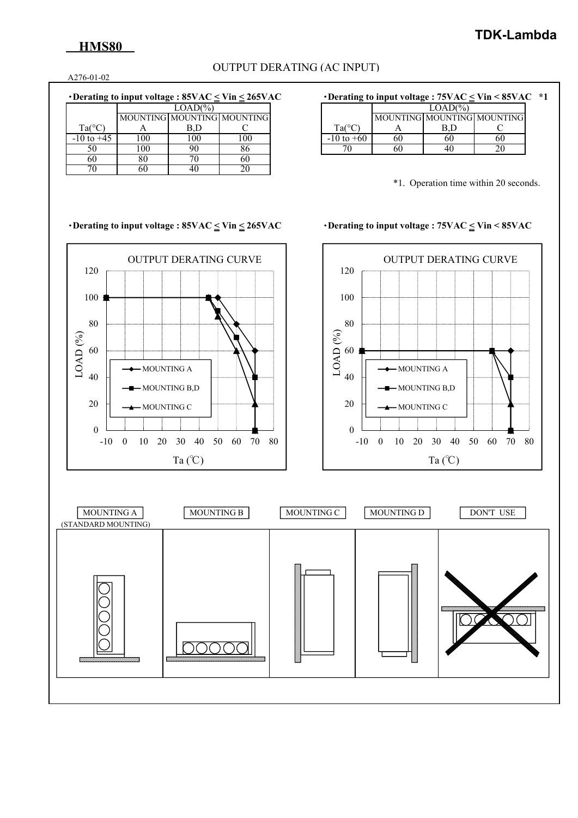## **HMS80**

### OUTPUT DERATING (AC INPUT)

A276-01-02

### ・**Derating to input voltage : 85VAC < Vin < 265VAC** ・**Derating to input voltage : 75VAC < Vin < 85VAC \*1**

|                 |     | $LOAD(\% )$                |     |                 |
|-----------------|-----|----------------------------|-----|-----------------|
|                 |     | MOUNTING MOUNTING MOUNTING |     |                 |
| $Ta(^{\circ}C,$ |     |                            |     | Ta <sup>o</sup> |
| $-10$ to $+45$  | 100 | 100                        | 100 | +60             |
| 50              | 100 | 90                         | 86  |                 |
| 60              | 80  |                            | 60  |                 |
|                 |     |                            |     |                 |

|                 | $LOAD(\%)$ |  |                            |  |  |  |
|-----------------|------------|--|----------------------------|--|--|--|
|                 |            |  | MOUNTING MOUNTING MOUNTING |  |  |  |
| $Ta(^{\circ}C)$ |            |  |                            |  |  |  |
| $-10$ to $+60$  |            |  |                            |  |  |  |
|                 |            |  |                            |  |  |  |

\*1. Operation time within 20 seconds.

### ・**Derating to input voltage : 85VAC < Vin < 265VAC** ・**Derating to input voltage : 75VAC < Vin < 85VAC**